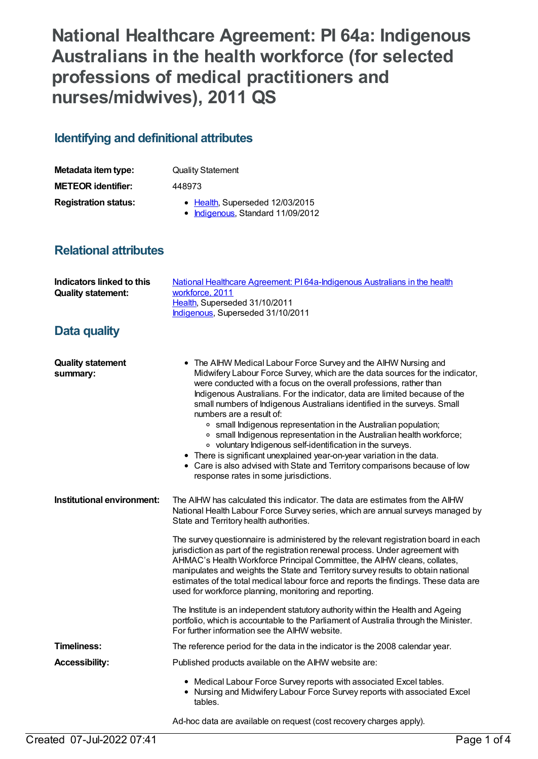**National Healthcare Agreement: PI 64a: Indigenous Australians in the health workforce (for selected professions of medical practitioners and nurses/midwives), 2011 QS**

## **Identifying and definitional attributes**

| Metadata item type:         | <b>Quality Statement</b>                                             |
|-----------------------------|----------------------------------------------------------------------|
| <b>METEOR identifier:</b>   | 448973                                                               |
| <b>Registration status:</b> | • Health, Superseded 12/03/2015<br>• Indigenous, Standard 11/09/2012 |

## **Relational attributes**

| <b>Indicators linked to this</b><br><b>Quality statement:</b> | National Healthcare Agreement: PI64a-Indigenous Australians in the health<br>workforce, 2011<br>Health, Superseded 31/10/2011<br>Indigenous, Superseded 31/10/2011                                                                                                                                                                                                                                                                                                                                                                                                                                                                                                                                                                                                                                                      |
|---------------------------------------------------------------|-------------------------------------------------------------------------------------------------------------------------------------------------------------------------------------------------------------------------------------------------------------------------------------------------------------------------------------------------------------------------------------------------------------------------------------------------------------------------------------------------------------------------------------------------------------------------------------------------------------------------------------------------------------------------------------------------------------------------------------------------------------------------------------------------------------------------|
| Data quality                                                  |                                                                                                                                                                                                                                                                                                                                                                                                                                                                                                                                                                                                                                                                                                                                                                                                                         |
| <b>Quality statement</b><br>summary:                          | • The AIHW Medical Labour Force Survey and the AIHW Nursing and<br>Midwifery Labour Force Survey, which are the data sources for the indicator,<br>were conducted with a focus on the overall professions, rather than<br>Indigenous Australians. For the indicator, data are limited because of the<br>small numbers of Indigenous Australians identified in the surveys. Small<br>numbers are a result of:<br>• small Indigenous representation in the Australian population;<br>• small Indigenous representation in the Australian health workforce;<br>o voluntary Indigenous self-identification in the surveys.<br>• There is significant unexplained year-on-year variation in the data.<br>• Care is also advised with State and Territory comparisons because of low<br>response rates in some jurisdictions. |
| Institutional environment:                                    | The AIHW has calculated this indicator. The data are estimates from the AIHW<br>National Health Labour Force Survey series, which are annual surveys managed by<br>State and Territory health authorities.                                                                                                                                                                                                                                                                                                                                                                                                                                                                                                                                                                                                              |
|                                                               | The survey questionnaire is administered by the relevant registration board in each<br>jurisdiction as part of the registration renewal process. Under agreement with<br>AHMAC's Health Workforce Principal Committee, the AIHW cleans, collates,<br>manipulates and weights the State and Territory survey results to obtain national<br>estimates of the total medical labour force and reports the findings. These data are<br>used for workforce planning, monitoring and reporting.                                                                                                                                                                                                                                                                                                                                |
|                                                               | The Institute is an independent statutory authority within the Health and Ageing<br>portfolio, which is accountable to the Parliament of Australia through the Minister.<br>For further information see the AIHW website.                                                                                                                                                                                                                                                                                                                                                                                                                                                                                                                                                                                               |
| Timeliness:                                                   | The reference period for the data in the indicator is the 2008 calendar year.                                                                                                                                                                                                                                                                                                                                                                                                                                                                                                                                                                                                                                                                                                                                           |
| <b>Accessibility:</b>                                         | Published products available on the AIHW website are:                                                                                                                                                                                                                                                                                                                                                                                                                                                                                                                                                                                                                                                                                                                                                                   |
|                                                               | • Medical Labour Force Survey reports with associated Excel tables.<br>• Nursing and Midwifery Labour Force Survey reports with associated Excel<br>tables.                                                                                                                                                                                                                                                                                                                                                                                                                                                                                                                                                                                                                                                             |
|                                                               | Ad-hoc data are available on request (cost recovery charges apply).                                                                                                                                                                                                                                                                                                                                                                                                                                                                                                                                                                                                                                                                                                                                                     |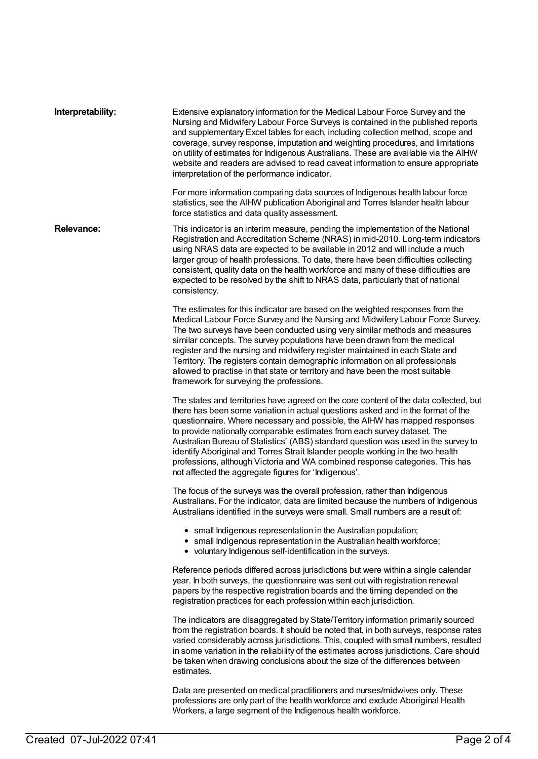| Interpretability: | Extensive explanatory information for the Medical Labour Force Survey and the<br>Nursing and Midwifery Labour Force Surveys is contained in the published reports<br>and supplementary Excel tables for each, including collection method, scope and<br>coverage, survey response, imputation and weighting procedures, and limitations<br>on utility of estimates for Indigenous Australians. These are available via the AIHW<br>website and readers are advised to read caveat information to ensure appropriate<br>interpretation of the performance indicator.                                                                                  |
|-------------------|------------------------------------------------------------------------------------------------------------------------------------------------------------------------------------------------------------------------------------------------------------------------------------------------------------------------------------------------------------------------------------------------------------------------------------------------------------------------------------------------------------------------------------------------------------------------------------------------------------------------------------------------------|
|                   | For more information comparing data sources of Indigenous health labour force<br>statistics, see the AIHW publication Aboriginal and Torres Islander health labour<br>force statistics and data quality assessment.                                                                                                                                                                                                                                                                                                                                                                                                                                  |
| <b>Relevance:</b> | This indicator is an interim measure, pending the implementation of the National<br>Registration and Accreditation Scheme (NRAS) in mid-2010. Long-term indicators<br>using NRAS data are expected to be available in 2012 and will include a much<br>larger group of health professions. To date, there have been difficulties collecting<br>consistent, quality data on the health workforce and many of these difficulties are<br>expected to be resolved by the shift to NRAS data, particularly that of national<br>consistency.                                                                                                                |
|                   | The estimates for this indicator are based on the weighted responses from the<br>Medical Labour Force Survey and the Nursing and Midwifery Labour Force Survey.<br>The two surveys have been conducted using very similar methods and measures<br>similar concepts. The survey populations have been drawn from the medical<br>register and the nursing and midwifery register maintained in each State and<br>Territory. The registers contain demographic information on all professionals<br>allowed to practise in that state or territory and have been the most suitable<br>framework for surveying the professions.                           |
|                   | The states and territories have agreed on the core content of the data collected, but<br>there has been some variation in actual questions asked and in the format of the<br>questionnaire. Where necessary and possible, the AIHW has mapped responses<br>to provide nationally comparable estimates from each survey dataset. The<br>Australian Bureau of Statistics' (ABS) standard question was used in the survey to<br>identify Aboriginal and Torres Strait Islander people working in the two health<br>professions, although Victoria and WA combined response categories. This has<br>not affected the aggregate figures for 'Indigenous'. |
|                   | The focus of the surveys was the overall profession, rather than Indigenous<br>Australians. For the indicator, data are limited because the numbers of Indigenous<br>Australians identified in the surveys were small. Small numbers are a result of:                                                                                                                                                                                                                                                                                                                                                                                                |
|                   | • small Indigenous representation in the Australian population;<br>• small Indigenous representation in the Australian health workforce;<br>• voluntary Indigenous self-identification in the surveys.                                                                                                                                                                                                                                                                                                                                                                                                                                               |
|                   | Reference periods differed across jurisdictions but were within a single calendar<br>year. In both surveys, the questionnaire was sent out with registration renewal<br>papers by the respective registration boards and the timing depended on the<br>registration practices for each profession within each jurisdiction.                                                                                                                                                                                                                                                                                                                          |
|                   | The indicators are disaggregated by State/Territory information primarily sourced<br>from the registration boards. It should be noted that, in both surveys, response rates<br>varied considerably across jurisdictions. This, coupled with small numbers, resulted<br>in some variation in the reliability of the estimates across jurisdictions. Care should<br>be taken when drawing conclusions about the size of the differences between<br>estimates.                                                                                                                                                                                          |
|                   | Data are presented on medical practitioners and nurses/midwives only. These<br>professions are only part of the health workforce and exclude Aboriginal Health<br>Workers, a large segment of the Indigenous health workforce.                                                                                                                                                                                                                                                                                                                                                                                                                       |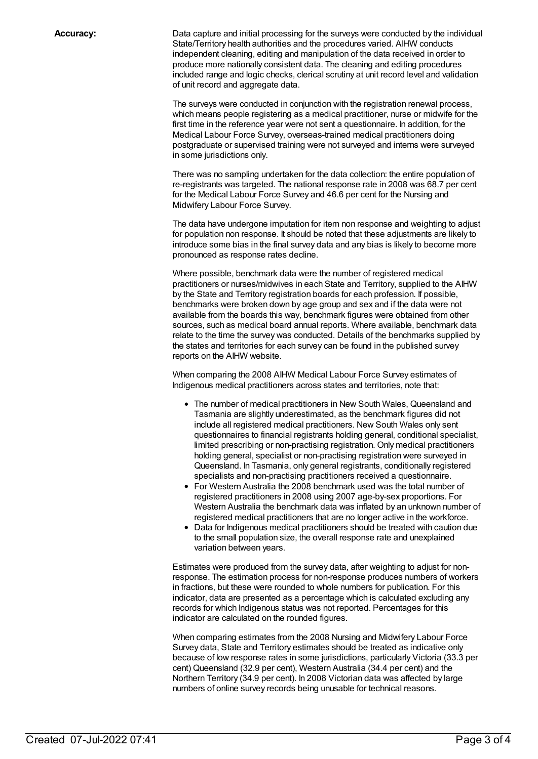**Accuracy:** Data capture and initial processing for the surveys were conducted by the individual State/Territory health authorities and the procedures varied. AIHW conducts independent cleaning, editing and manipulation of the data received in order to produce more nationally consistent data. The cleaning and editing procedures included range and logic checks, clerical scrutiny at unit record level and validation of unit record and aggregate data.

> The surveys were conducted in conjunction with the registration renewal process, which means people registering as a medical practitioner, nurse or midwife for the first time in the reference year were not sent a questionnaire. In addition, for the Medical Labour Force Survey, overseas-trained medical practitioners doing postgraduate or supervised training were not surveyed and interns were surveyed in some jurisdictions only.

> There was no sampling undertaken for the data collection: the entire population of re-registrants was targeted. The national response rate in 2008 was 68.7 per cent for the Medical Labour Force Survey and 46.6 per cent for the Nursing and Midwifery Labour Force Survey.

The data have undergone imputation for item non response and weighting to adjust for population non response. It should be noted that these adjustments are likely to introduce some bias in the final survey data and any bias is likely to become more pronounced as response rates decline.

Where possible, benchmark data were the number of registered medical practitioners or nurses/midwives in each State and Territory, supplied to the AIHW by the State and Territory registration boards for each profession. If possible, benchmarks were broken down by age group and sex and if the data were not available from the boards this way, benchmark figures were obtained from other sources, such as medical board annual reports. Where available, benchmark data relate to the time the survey was conducted. Details of the benchmarks supplied by the states and territories for each survey can be found in the published survey reports on the AIHW website.

When comparing the 2008 AIHW Medical Labour Force Survey estimates of Indigenous medical practitioners across states and territories, note that:

- The number of medical practitioners in New South Wales, Queensland and Tasmania are slightly underestimated, as the benchmark figures did not include all registered medical practitioners. New South Wales only sent questionnaires to financial registrants holding general, conditional specialist, limited prescribing or non-practising registration. Only medical practitioners holding general, specialist or non-practising registration were surveyed in Queensland. In Tasmania, only general registrants, conditionally registered specialists and non-practising practitioners received a questionnaire.
- For Western Australia the 2008 benchmark used was the total number of registered practitioners in 2008 using 2007 age-by-sex proportions. For Western Australia the benchmark data was inflated by an unknown number of registered medical practitioners that are no longer active in the workforce.
- Data for Indigenous medical practitioners should be treated with caution due to the small population size, the overall response rate and unexplained variation between years.

Estimates were produced from the survey data, after weighting to adjust for nonresponse. The estimation process for non-response produces numbers of workers in fractions, but these were rounded to whole numbers for publication. For this indicator, data are presented as a percentage which is calculated excluding any records for which Indigenous status was not reported. Percentages for this indicator are calculated on the rounded figures.

When comparing estimates from the 2008 Nursing and Midwifery Labour Force Survey data, State and Territory estimates should be treated as indicative only because of low response rates in some jurisdictions, particularly Victoria (33.3 per cent) Queensland (32.9 per cent), Western Australia (34.4 per cent) and the Northern Territory (34.9 per cent). In 2008 Victorian data was affected by large numbers of online survey records being unusable for technical reasons.